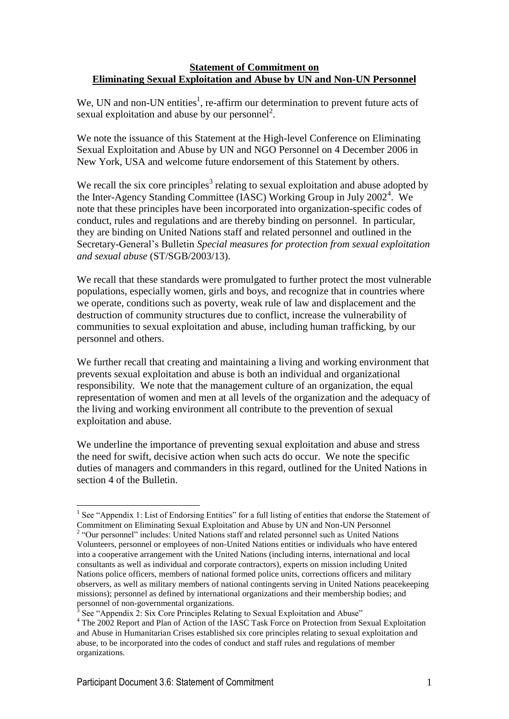#### **Statement of Commitment on Eliminating Sexual Exploitation and Abuse by UN and Non-UN Personnel**

We, UN and non-UN entities<sup>1</sup>, re-affirm our determination to prevent future acts of sexual exploitation and abuse by our personnel<sup>2</sup>.

We note the issuance of this Statement at the High-level Conference on Eliminating Sexual Exploitation and Abuse by UN and NGO Personnel on 4 December 2006 in New York, USA and welcome future endorsement of this Statement by others.

We recall the six core principles<sup>3</sup> relating to sexual exploitation and abuse adopted by the Inter-Agency Standing Committee (IASC) Working Group in July 2002<sup>4</sup>. We note that these principles have been incorporated into organization-specific codes of conduct, rules and regulations and are thereby binding on personnel. In particular, they are binding on United Nations staff and related personnel and outlined in the Secretary-General's Bulletin *Special measures for protection from sexual exploitation and sexual abuse* (ST/SGB/2003/13).

We recall that these standards were promulgated to further protect the most vulnerable populations, especially women, girls and boys, and recognize that in countries where we operate, conditions such as poverty, weak rule of law and displacement and the destruction of community structures due to conflict, increase the vulnerability of communities to sexual exploitation and abuse, including human trafficking, by our personnel and others.

We further recall that creating and maintaining a living and working environment that prevents sexual exploitation and abuse is both an individual and organizational responsibility. We note that the management culture of an organization, the equal representation of women and men at all levels of the organization and the adequacy of the living and working environment all contribute to the prevention of sexual exploitation and abuse.

We underline the importance of preventing sexual exploitation and abuse and stress the need for swift, decisive action when such acts do occur. We note the specific duties of managers and commanders in this regard, outlined for the United Nations in section 4 of the Bulletin.

<sup>1</sup> <sup>1</sup> See "Appendix 1: List of Endorsing Entities" for a full listing of entities that endorse the Statement of Commitment on Eliminating Sexual Exploitation and Abuse by UN and Non-UN Personnel 2 "Our personnel" includes: United Nations staff and related personnel such as United Nations

Volunteers, personnel or employees of non-United Nations entities or individuals who have entered into a cooperative arrangement with the United Nations (including interns, international and local consultants as well as individual and corporate contractors), experts on mission including United Nations police officers, members of national formed police units, corrections officers and military observers, as well as military members of national contingents serving in United Nations peacekeeping missions); personnel as defined by international organizations and their membership bodies; and personnel of non-governmental organizations.

<sup>3</sup> See "Appendix 2: Six Core Principles Relating to Sexual Exploitation and Abuse"

<sup>&</sup>lt;sup>4</sup> The 2002 Report and Plan of Action of the IASC Task Force on Protection from Sexual Exploitation and Abuse in Humanitarian Crises established six core principles relating to sexual exploitation and abuse, to be incorporated into the codes of conduct and staff rules and regulations of member organizations.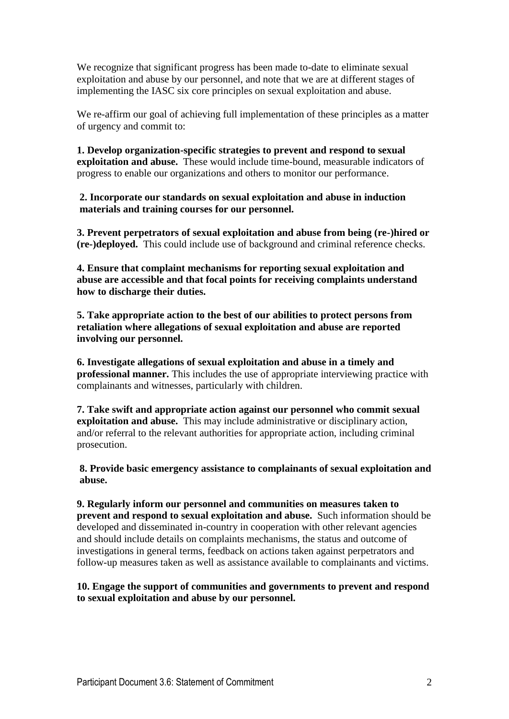We recognize that significant progress has been made to-date to eliminate sexual exploitation and abuse by our personnel, and note that we are at different stages of implementing the IASC six core principles on sexual exploitation and abuse.

We re-affirm our goal of achieving full implementation of these principles as a matter of urgency and commit to:

**1. Develop organization-specific strategies to prevent and respond to sexual exploitation and abuse.** These would include time-bound, measurable indicators of progress to enable our organizations and others to monitor our performance.

**2. Incorporate our standards on sexual exploitation and abuse in induction materials and training courses for our personnel.** 

**3. Prevent perpetrators of sexual exploitation and abuse from being (re-)hired or (re-)deployed.** This could include use of background and criminal reference checks.

**4. Ensure that complaint mechanisms for reporting sexual exploitation and abuse are accessible and that focal points for receiving complaints understand how to discharge their duties.** 

**5. Take appropriate action to the best of our abilities to protect persons from retaliation where allegations of sexual exploitation and abuse are reported involving our personnel.** 

**6. Investigate allegations of sexual exploitation and abuse in a timely and professional manner.** This includes the use of appropriate interviewing practice with complainants and witnesses, particularly with children.

**7. Take swift and appropriate action against our personnel who commit sexual exploitation and abuse.** This may include administrative or disciplinary action, and/or referral to the relevant authorities for appropriate action, including criminal prosecution.

**8. Provide basic emergency assistance to complainants of sexual exploitation and abuse.**

**9. Regularly inform our personnel and communities on measures taken to prevent and respond to sexual exploitation and abuse.** Such information should be developed and disseminated in-country in cooperation with other relevant agencies and should include details on complaints mechanisms, the status and outcome of investigations in general terms, feedback on actions taken against perpetrators and follow-up measures taken as well as assistance available to complainants and victims.

## **10. Engage the support of communities and governments to prevent and respond to sexual exploitation and abuse by our personnel.**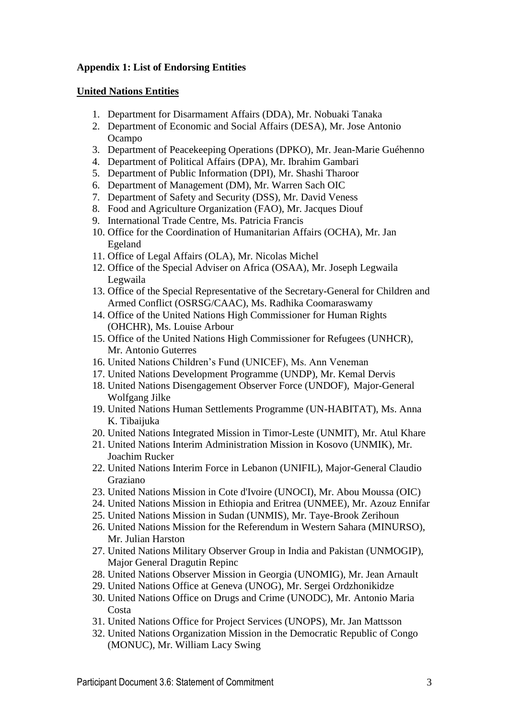# **Appendix 1: List of Endorsing Entities**

#### **United Nations Entities**

- 1. Department for Disarmament Affairs (DDA), Mr. Nobuaki Tanaka
- 2. Department of Economic and Social Affairs (DESA), Mr. Jose Antonio Ocampo
- 3. Department of Peacekeeping Operations (DPKO), Mr. Jean-Marie Guéhenno
- 4. Department of Political Affairs (DPA), Mr. Ibrahim Gambari
- 5. Department of Public Information (DPI), Mr. Shashi Tharoor
- 6. Department of Management (DM), Mr. Warren Sach OIC
- 7. Department of Safety and Security (DSS), Mr. David Veness
- 8. Food and Agriculture Organization (FAO), Mr. Jacques Diouf
- 9. International Trade Centre, Ms. Patricia Francis
- 10. Office for the Coordination of Humanitarian Affairs (OCHA), Mr. Jan Egeland
- 11. Office of Legal Affairs (OLA), Mr. Nicolas Michel
- 12. Office of the Special Adviser on Africa (OSAA), Mr. Joseph Legwaila Legwaila
- 13. Office of the Special Representative of the Secretary-General for Children and Armed Conflict (OSRSG/CAAC), Ms. Radhika Coomaraswamy
- 14. Office of the United Nations High Commissioner for Human Rights (OHCHR), Ms. Louise Arbour
- 15. Office of the United Nations High Commissioner for Refugees (UNHCR), Mr. Antonio Guterres
- 16. United Nations Children's Fund (UNICEF), Ms. Ann Veneman
- 17. United Nations Development Programme (UNDP), Mr. Kemal Dervis
- 18. United Nations Disengagement Observer Force (UNDOF), Major-General Wolfgang Jilke
- 19. United Nations Human Settlements Programme (UN-HABITAT), Ms. Anna K. Tibaijuka
- 20. United Nations Integrated Mission in Timor-Leste (UNMIT), Mr. Atul Khare
- 21. United Nations Interim Administration Mission in Kosovo (UNMIK), Mr. Joachim Rucker
- 22. United Nations Interim Force in Lebanon (UNIFIL), Major-General Claudio Graziano
- 23. United Nations Mission in Cote d'Ivoire (UNOCI), Mr. Abou Moussa (OIC)
- 24. United Nations Mission in Ethiopia and Eritrea (UNMEE), Mr. Azouz Ennifar
- 25. United Nations Mission in Sudan (UNMIS), Mr. Taye-Brook Zerihoun
- 26. United Nations Mission for the Referendum in Western Sahara (MINURSO), Mr. Julian Harston
- 27. United Nations Military Observer Group in India and Pakistan (UNMOGIP), Major General Dragutin Repinc
- 28. United Nations Observer Mission in Georgia (UNOMIG), Mr. Jean Arnault
- 29. United Nations Office at Geneva (UNOG), Mr. Sergei Ordzhonikidze
- 30. United Nations Office on Drugs and Crime (UNODC), Mr. Antonio Maria Costa
- 31. United Nations Office for Project Services (UNOPS), Mr. Jan Mattsson
- 32. United Nations Organization Mission in the Democratic Republic of Congo (MONUC), Mr. William Lacy Swing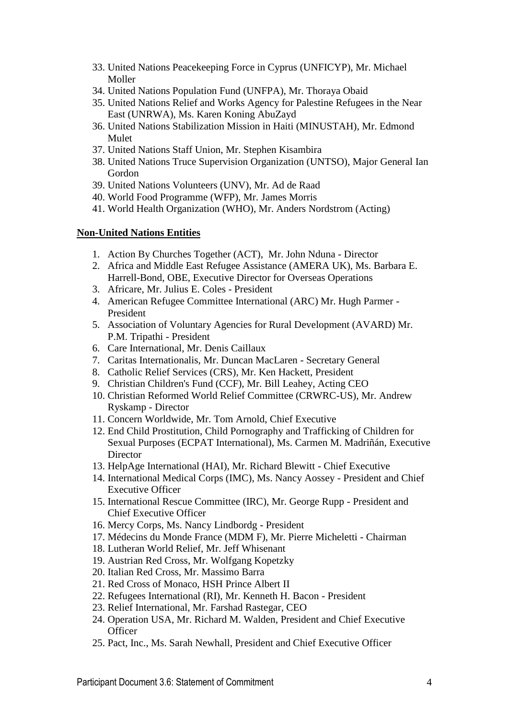- 33. United Nations Peacekeeping Force in Cyprus (UNFICYP), Mr. Michael Moller
- 34. United Nations Population Fund (UNFPA), Mr. Thoraya Obaid
- 35. United Nations Relief and Works Agency for Palestine Refugees in the Near East (UNRWA), Ms. Karen Koning AbuZayd
- 36. United Nations Stabilization Mission in Haiti (MINUSTAH), Mr. Edmond Mulet
- 37. United Nations Staff Union, Mr. Stephen Kisambira
- 38. United Nations Truce Supervision Organization (UNTSO), Major General Ian Gordon
- 39. United Nations Volunteers (UNV), Mr. Ad de Raad
- 40. World Food Programme (WFP), Mr. James Morris
- 41. World Health Organization (WHO), Mr. Anders Nordstrom (Acting)

## **Non-United Nations Entities**

- 1. Action By Churches Together (ACT), Mr. John Nduna Director
- 2. Africa and Middle East Refugee Assistance (AMERA UK), Ms. Barbara E. Harrell-Bond, OBE, Executive Director for Overseas Operations
- 3. Africare, Mr. Julius E. Coles President
- 4. American Refugee Committee International (ARC) Mr. Hugh Parmer President
- 5. Association of Voluntary Agencies for Rural Development (AVARD) Mr. P.M. Tripathi - President
- 6. Care International, Mr. Denis Caillaux
- 7. Caritas Internationalis, Mr. Duncan MacLaren Secretary General
- 8. Catholic Relief Services (CRS), Mr. Ken Hackett, President
- 9. Christian Children's Fund (CCF), Mr. Bill Leahey, Acting CEO
- 10. Christian Reformed World Relief Committee (CRWRC-US), Mr. Andrew Ryskamp - Director
- 11. Concern Worldwide, Mr. Tom Arnold, Chief Executive
- 12. End Child Prostitution, Child Pornography and Trafficking of Children for Sexual Purposes (ECPAT International), Ms. Carmen M. Madriñán, Executive **Director**
- 13. HelpAge International (HAI), Mr. Richard Blewitt Chief Executive
- 14. International Medical Corps (IMC), Ms. Nancy Aossey President and Chief Executive Officer
- 15. International Rescue Committee (IRC), Mr. George Rupp President and Chief Executive Officer
- 16. Mercy Corps, Ms. Nancy Lindbordg President
- 17. Médecins du Monde France (MDM F), Mr. Pierre Micheletti Chairman
- 18. Lutheran World Relief, Mr. Jeff Whisenant
- 19. Austrian Red Cross, Mr. Wolfgang Kopetzky
- 20. Italian Red Cross, Mr. Massimo Barra
- 21. Red Cross of Monaco, HSH Prince Albert II
- 22. Refugees International (RI), Mr. Kenneth H. Bacon President
- 23. Relief International, Mr. Farshad Rastegar, CEO
- 24. Operation USA, Mr. Richard M. Walden, President and Chief Executive **Officer**
- 25. Pact, Inc., Ms. Sarah Newhall, President and Chief Executive Officer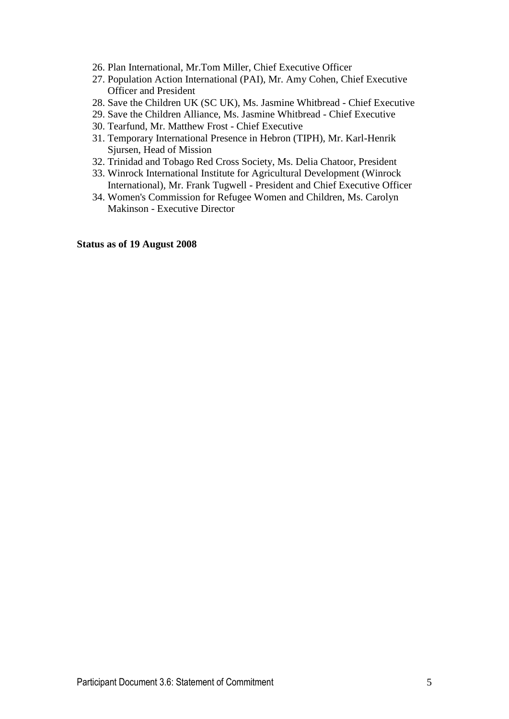- 26. Plan International, Mr.Tom Miller, Chief Executive Officer
- 27. Population Action International (PAI), Mr. Amy Cohen, Chief Executive Officer and President
- 28. Save the Children UK (SC UK), Ms. Jasmine Whitbread Chief Executive
- 29. Save the Children Alliance, Ms. Jasmine Whitbread Chief Executive
- 30. Tearfund, Mr. Matthew Frost Chief Executive
- 31. Temporary International Presence in Hebron (TIPH), Mr. Karl-Henrik Sjursen, Head of Mission
- 32. Trinidad and Tobago Red Cross Society, Ms. Delia Chatoor, President
- 33. Winrock International Institute for Agricultural Development (Winrock International), Mr. Frank Tugwell - President and Chief Executive Officer
- 34. Women's Commission for Refugee Women and Children, Ms. Carolyn Makinson - Executive Director

**Status as of 19 August 2008**